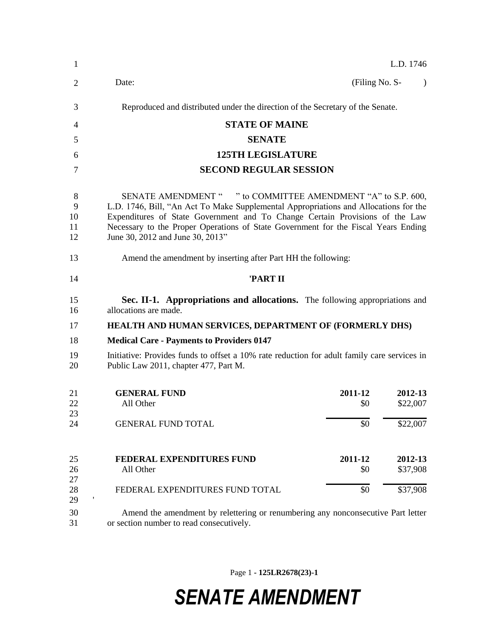| 1                        |                                                                                                                                                                                                                                                                                                                                                                |                | L.D. 1746           |  |
|--------------------------|----------------------------------------------------------------------------------------------------------------------------------------------------------------------------------------------------------------------------------------------------------------------------------------------------------------------------------------------------------------|----------------|---------------------|--|
| $\overline{2}$           | Date:                                                                                                                                                                                                                                                                                                                                                          | (Filing No. S- | $\lambda$           |  |
| 3                        | Reproduced and distributed under the direction of the Secretary of the Senate.                                                                                                                                                                                                                                                                                 |                |                     |  |
| 4                        | <b>STATE OF MAINE</b>                                                                                                                                                                                                                                                                                                                                          |                |                     |  |
| 5                        | <b>SENATE</b>                                                                                                                                                                                                                                                                                                                                                  |                |                     |  |
| 6                        | <b>125TH LEGISLATURE</b>                                                                                                                                                                                                                                                                                                                                       |                |                     |  |
| 7                        | <b>SECOND REGULAR SESSION</b>                                                                                                                                                                                                                                                                                                                                  |                |                     |  |
| 8<br>9<br>10<br>11<br>12 | SENATE AMENDMENT " " to COMMITTEE AMENDMENT "A" to S.P. 600,<br>L.D. 1746, Bill, "An Act To Make Supplemental Appropriations and Allocations for the<br>Expenditures of State Government and To Change Certain Provisions of the Law<br>Necessary to the Proper Operations of State Government for the Fiscal Years Ending<br>June 30, 2012 and June 30, 2013" |                |                     |  |
| 13                       | Amend the amendment by inserting after Part HH the following:                                                                                                                                                                                                                                                                                                  |                |                     |  |
| 14                       | 'PART II                                                                                                                                                                                                                                                                                                                                                       |                |                     |  |
| 15<br>16                 | Sec. II-1. Appropriations and allocations. The following appropriations and<br>allocations are made.                                                                                                                                                                                                                                                           |                |                     |  |
| 17                       | <b>HEALTH AND HUMAN SERVICES, DEPARTMENT OF (FORMERLY DHS)</b>                                                                                                                                                                                                                                                                                                 |                |                     |  |
| 18                       | <b>Medical Care - Payments to Providers 0147</b>                                                                                                                                                                                                                                                                                                               |                |                     |  |
| 19<br>20                 | Initiative: Provides funds to offset a 10% rate reduction for adult family care services in<br>Public Law 2011, chapter 477, Part M.                                                                                                                                                                                                                           |                |                     |  |
| 21<br>22<br>23           | <b>GENERAL FUND</b><br>2011-12<br>All Other                                                                                                                                                                                                                                                                                                                    | \$0            | 2012-13<br>\$22,007 |  |
| 24                       | <b>GENERAL FUND TOTAL</b>                                                                                                                                                                                                                                                                                                                                      | \$0            | \$22,007            |  |
| 25<br>26<br>27           | 2011-12<br>FEDERAL EXPENDITURES FUND<br>All Other                                                                                                                                                                                                                                                                                                              | \$0            | 2012-13<br>\$37,908 |  |
| 28<br>29                 | FEDERAL EXPENDITURES FUND TOTAL                                                                                                                                                                                                                                                                                                                                | \$0            | \$37,908            |  |
| 30<br>31                 | Amend the amendment by relettering or renumbering any nonconsecutive Part letter<br>or section number to read consecutively.                                                                                                                                                                                                                                   |                |                     |  |

Page 1 **- 125LR2678(23)-1**

## *SENATE AMENDMENT*